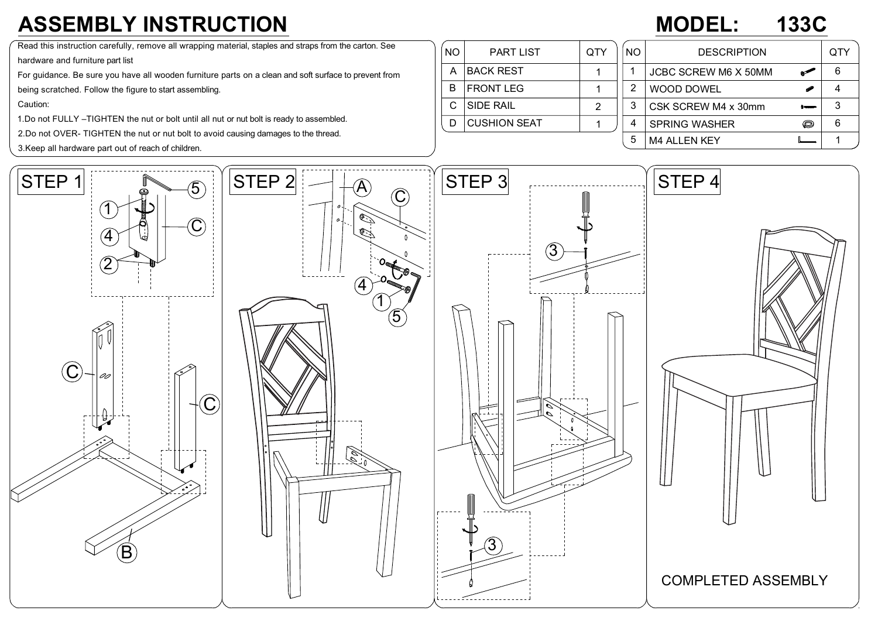## **ASSEMBLY INSTRUCTION**

## **MODEL: 133C**

Read this instruction carefully, remove all wrapping material, staples and straps from the carton. See

hardware and furniture part list

For guidance. Be sure you have all wooden furniture parts on a clean and soft surface to prevent from

being scratched. Follow the figure to start assembling.

Caution:

1.Do not FULLY –TIGHTEN the nut or bolt until all nut or nut bolt is ready to assembled.

2.Do not OVER- TIGHTEN the nut or nut bolt to avoid causing damages to the thread.

3.Keep all hardware part out of reach of children.

| <b>NO</b> | <b>PART LIST</b>    | QTY | NO. | <b>DESCRIPTION</b>          |   | QTY |
|-----------|---------------------|-----|-----|-----------------------------|---|-----|
| Α         | <b>BACK REST</b>    |     |     | <b>JCBC SCREW M6 X 50MM</b> |   | 6   |
| B         | <b>FRONT LEG</b>    |     | 2   | WOOD DOWEL                  | P |     |
|           | <b>SIDE RAIL</b>    | 2   | 3   | CSK SCREW M4 x 30mm         |   | 3   |
|           | <b>CUSHION SEAT</b> |     | 4   | <b>SPRING WASHER</b>        | O | 6   |
|           |                     |     | 5   | <b>M4 ALLEN KEY</b>         |   |     |